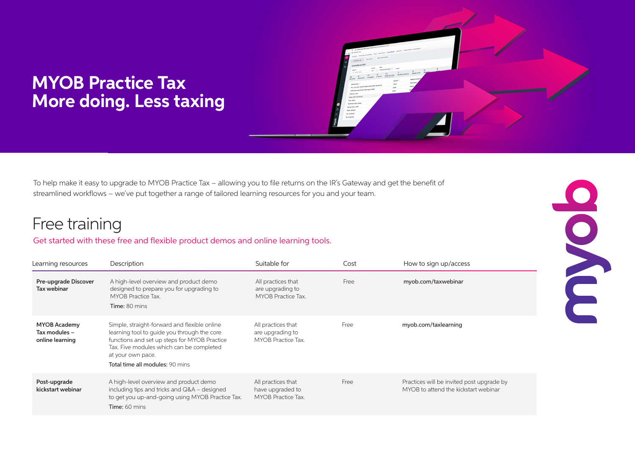# **MYOB Practice Tax More doing. Less taxing**

To help make it easy to upgrade to MYOB Practice Tax – allowing you to file returns on the IR's Gateway and get the benefit of streamlined workflows – we've put together a range of tailored learning resources for you and your team.

## Free training

### Get started with these free and flexible product demos and online learning tools.

| Learning resources                                      | Description                                                                                                                                                                                                                                     | Suitable for                                                 | Cost | How to sign up/access                                                             |
|---------------------------------------------------------|-------------------------------------------------------------------------------------------------------------------------------------------------------------------------------------------------------------------------------------------------|--------------------------------------------------------------|------|-----------------------------------------------------------------------------------|
| Pre-upgrade Discover<br>Tax webinar                     | A high-level overview and product demo<br>designed to prepare you for upgrading to<br><b>MYOB Practice Tax.</b><br>Time: 80 mins                                                                                                                | All practices that<br>are upgrading to<br>MYOB Practice Tax. | Free | myob.com/taxwebinar                                                               |
| <b>MYOB Academy</b><br>Tax modules -<br>online learning | Simple, straight-forward and flexible online<br>learning tool to guide you through the core<br>functions and set up steps for MYOB Practice<br>Tax. Five modules which can be completed<br>at your own pace.<br>Total time all modules: 90 mins | All practices that<br>are upgrading to<br>MYOB Practice Tax. | Free | myob.com/taxlearning                                                              |
| Post-upgrade<br>kickstart webinar                       | A high-level overview and product demo<br>including tips and tricks and Q&A - designed<br>to get you up-and-going using MYOB Practice Tax.<br>Time: 60 mins                                                                                     | All practices that<br>have upgraded to<br>MYOB Practice Tax. | Free | Practices will be invited post upgrade by<br>MYOB to attend the kickstart webinar |